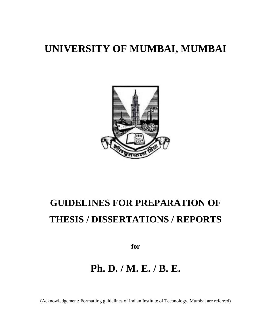# **UNIVERSITY OF MUMBAI, MUMBAI**



# **GUIDELINES FOR PREPARATION OF THESIS / DISSERTATIONS / REPORTS**

**for**

# **Ph. D. / M. E. / B. E.**

(Acknowledgement: Formatting guidelines of Indian Institute of Technology, Mumbai are referred)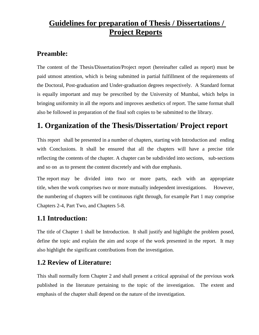# **Guidelines for preparation of Thesis / Dissertations / Project Reports**

# **Preamble:**

The content of the Thesis/Dissertation/Project report (hereinafter called as report) must be paid utmost attention, which is being submitted in partial fulfillment of the requirements of the Doctoral, Post-graduation and Under-graduation degrees respectively. A Standard format is equally important and may be prescribed by the University of Mumbai, which helps in bringing uniformity in all the reports and improves aesthetics of report. The same format shall also be followed in preparation of the final soft copies to be submitted to the library.

# **1. Organization of the Thesis/Dissertation/ Project report**

This report shall be presented in a number of chapters, starting with Introduction and ending with Conclusions. It shall be ensured that all the chapters will have a precise title reflecting the contents of the chapter. A chapter can be subdivided into sections, sub-sections and so on as to present the content discretely and with due emphasis.

The report may be divided into two or more parts, each with an appropriate title, when the work comprises two or more mutually independent investigations. However, the numbering of chapters will be continuous right through, for example Part 1 may comprise Chapters 2-4, Part Two, and Chapters 5-8.

# **1.1 Introduction:**

The title of Chapter 1 shall be Introduction. It shall justify and highlight the problem posed, define the topic and explain the aim and scope of the work presented in the report. It may also highlight the significant contributions from the investigation.

# **1.2 Review of Literature:**

This shall normally form Chapter 2 and shall present a critical appraisal of the previous work published in the literature pertaining to the topic of the investigation. The extent and emphasis of the chapter shall depend on the nature of the investigation.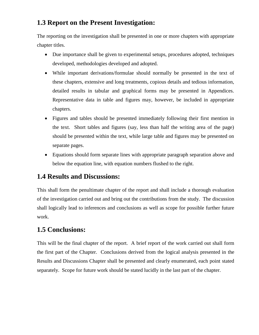# **1.3 Report on the Present Investigation:**

The reporting on the investigation shall be presented in one or more chapters with appropriate chapter titles.

- Due importance shall be given to experimental setups, procedures adopted, techniques developed, methodologies developed and adopted.
- While important derivations/formulae should normally be presented in the text of these chapters, extensive and long treatments, copious details and tedious information, detailed results in tabular and graphical forms may be presented in Appendices. Representative data in table and figures may, however, be included in appropriate chapters.
- Figures and tables should be presented immediately following their first mention in the text. Short tables and figures (say, less than half the writing area of the page) should be presented within the text, while large table and figures may be presented on separate pages.
- Equations should form separate lines with appropriate paragraph separation above and below the equation line, with equation numbers flushed to the right.

# **1.4 Results and Discussions:**

This shall form the penultimate chapter of the report and shall include a thorough evaluation of the investigation carried out and bring out the contributions from the study. The discussion shall logically lead to inferences and conclusions as well as scope for possible further future work.

# **1.5 Conclusions:**

This will be the final chapter of the report. A brief report of the work carried out shall form the first part of the Chapter. Conclusions derived from the logical analysis presented in the Results and Discussions Chapter shall be presented and clearly enumerated, each point stated separately. Scope for future work should be stated lucidly in the last part of the chapter.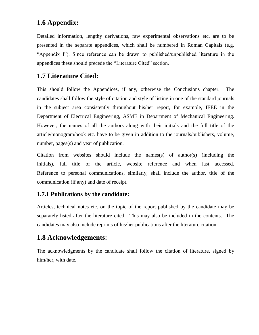### **1.6 Appendix:**

Detailed information, lengthy derivations, raw experimental observations etc. are to be presented in the separate appendices, which shall be numbered in Roman Capitals (e.g. "Appendix I"). Since reference can be drawn to published/unpublished literature in the appendices these should precede the "Literature Cited" section.

#### **1.7 Literature Cited:**

This should follow the Appendices, if any, otherwise the Conclusions chapter. The candidates shall follow the style of citation and style of listing in one of the standard journals in the subject area consistently throughout his/her report, for example, IEEE in the Department of Electrical Engineering, ASME in Department of Mechanical Engineering. However, the names of all the authors along with their initials and the full title of the article/monogram/book etc. have to be given in addition to the journals/publishers, volume, number, pages(s) and year of publication.

Citation from websites should include the names(s) of author(s) (including the initials), full title of the article, website reference and when last accessed. Reference to personal communications, similarly, shall include the author, title of the communication (if any) and date of receipt.

#### **1.7.1 Publications by the candidate:**

Articles, technical notes etc. on the topic of the report published by the candidate may be separately listed after the literature cited. This may also be included in the contents. The candidates may also include reprints of his/her publications after the literature citation.

# **1.8 Acknowledgements:**

The acknowledgments by the candidate shall follow the citation of literature, signed by him/her, with date.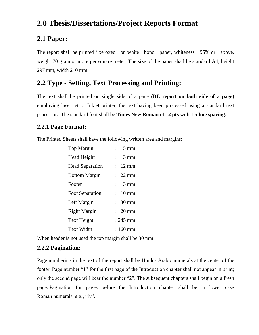# **2.0 Thesis/Dissertations/Project Reports Format**

#### **2.1 Paper:**

The report shall be printed / xeroxed on white bond paper, whiteness 95% or above, weight 70 gram or more per square meter. The size of the paper shall be standard A4; height 297 mm, width 210 mm.

### **2.2 Type - Setting, Text Processing and Printing:**

The text shall be printed on single side of a page **(BE report on both side of a page)**  employing laser jet or Inkjet printer, the text having been processed using a standard text processor. The standard font shall be **Times New Roman** of **12 pts** with **1.5 line spacing**.

#### **2.2.1 Page Format:**

The Printed Sheets shall have the following written area and margins:

| <b>Top Margin</b>      | $: 15 \text{ mm}$               |
|------------------------|---------------------------------|
| <b>Head Height</b>     | $3 \text{ mm}$<br>$\mathbf{L}$  |
| <b>Head Separation</b> | $12 \text{ mm}$<br>$\mathbf{L}$ |
| <b>Bottom Margin</b>   | $\therefore$ 22 mm              |
| Footer                 | $\frac{1}{2}$ 3 mm              |
| <b>Foot Separation</b> | $: 10 \text{ mm}$               |
| Left Margin            | $: 30$ mm                       |
| <b>Right Margin</b>    | $\therefore$ 20 mm              |
| Text Height            | $: 245$ mm                      |
| <b>Text Width</b>      | : 160 mm                        |

When header is not used the top margin shall be 30 mm.

#### **2.2.2 Pagination:**

Page numbering in the text of the report shall be Hindu- Arabic numerals at the center of the footer. Page number "1" for the first page of the Introduction chapter shall not appear in print; only the second page will bear the number "2". The subsequent chapters shall begin on a fresh page. Pagination for pages before the Introduction chapter shall be in lower case Roman numerals, e.g., "iv".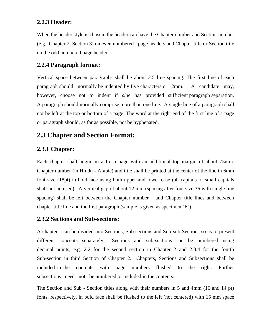#### **2.2.3 Header:**

When the header style is chosen, the header can have the Chapter number and Section number (e.g., Chapter 2, Section 3) on even numbered page headers and Chapter title or Section title on the odd numbered page header.

#### **2.2.4 Paragraph format:**

Vertical space between paragraphs shall be about 2.5 line spacing. The first line of each paragraph should normally be indented by five characters or 12mm. A candidate may, however, choose not to indent if s/he has provided sufficient paragraph separation. A paragraph should normally comprise more than one line. A single line of a paragraph shall not be left at the top or bottom of a page. The word at the right end of the first line of a page or paragraph should, as far as possible, not be hyphenated.

#### **2.3 Chapter and Section Format:**

#### **2.3.1 Chapter:**

Each chapter shall begin on a fresh page with an additional top margin of about 75mm. Chapter number (in Hindu - Arabic) and title shall be printed at the center of the line in 6mm font size (18pt) in bold face using both upper and lower case (all capitals or small capitals shall not be used). A vertical gap of about 12 mm (spacing after font size 36 with single line spacing) shall be left between the Chapter number and Chapter title lines and between chapter title line and the first paragraph (sample is given as specimen "E").

#### **2.3.2 Sections and Sub-sections:**

A chapter can be divided into Sections, Sub-sections and Sub-sub Sections so as to present different concepts separately. Sections and sub-sections can be numbered using decimal points, e.g. 2.2 for the second section in Chapter 2 and 2.3.4 for the fourth Sub-section in third Section of Chapter 2. Chapters, Sections and Subsections shall be included in the contents with page numbers flushed to the right. Further subsections need not be numbered or included in the contents.

The Section and Sub - Section titles along with their numbers in 5 and 4mm (16 and 14 pt) fonts, respectively, in bold face shall be flushed to the left (not centered) with 15 mm space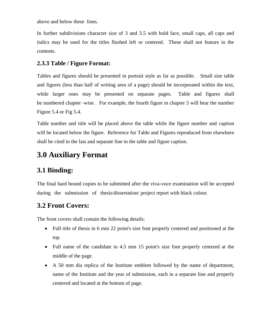above and below these lines.

In further subdivisions character size of 3 and 3.5 with bold face, small caps, all caps and italics may be used for the titles flushed left or centered. These shall not feature in the contents.

#### **2.3.3 Table / Figure Format:**

Tables and figures should be presented in portrait style as far as possible. Small size table and figures (less than half of writing area of a page) should be incorporated within the text, while larger ones may be presented on separate pages. Table and figures shall be numbered chapter -wise. For example, the fourth figure in chapter 5 will bear the number Figure 5.4 or Fig 5.4.

Table number and title will be placed above the table while the figure number and caption will be located below the figure. Reference for Table and Figures reproduced from elsewhere shall be cited in the last and separate line in the table and figure caption.

# **3.0 Auxiliary Format**

# **3.1 Binding:**

The final hard bound copies to be submitted after the viva-voce examination will be accepted during the submission of thesis/dissertation/ project report with black colour.

# **3.2 Front Covers:**

The front covers shall contain the following details:

- Full title of thesis in 6 mm 22 point's size font properly centered and positioned at the top.
- Full name of the candidate in 4.5 mm 15 point's size font properly centered at the middle of the page.
- A 50 mm dia replica of the Institute emblem followed by the name of department, name of the Institute and the year of submission, each in a separate line and properly centered and located at the bottom of page.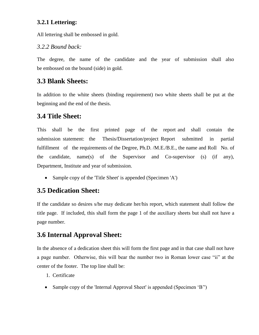#### **3.2.1 Lettering:**

All lettering shall be embossed in gold.

#### *3.2.2 Bound back:*

The degree, the name of the candidate and the year of submission shall also be embossed on the bound (side) in gold.

#### **3.3 Blank Sheets:**

In addition to the white sheets (binding requirement) two white sheets shall be put at the beginning and the end of the thesis.

#### **3.4 Title Sheet:**

This shall be the first printed page of the report and shall contain the submission statement: the Thesis/Dissertation/project Report submitted in partial fulfillment of the requirements of the Degree, Ph.D. /M.E./B.E., the name and Roll No. of the candidate, name(s) of the Supervisor and Co-supervisor (s) (if any), Department, Institute and year of submission.

• Sample copy of the 'Title Sheet' is appended (Specimen 'A')

#### **3.5 Dedication Sheet:**

If the candidate so desires s/he may dedicate her/his report, which statement shall follow the title page. If included, this shall form the page 1 of the auxiliary sheets but shall not have a page number.

# **3.6 Internal Approval Sheet:**

In the absence of a dedication sheet this will form the first page and in that case shall not have a page number. Otherwise, this will bear the number two in Roman lower case "ii" at the center of the footer. The top line shall be:

- 1. Certificate
- Sample copy of the 'Internal Approval Sheet' is appended (Specimen 'B'')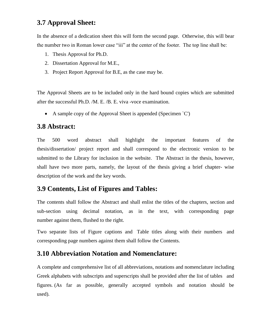# **3.7 Approval Sheet:**

In the absence of a dedication sheet this will form the second page. Otherwise, this will bear the number two in Roman lower case "iii" at the center of the footer. The top line shall be:

- 1. Thesis Approval for Ph.D.
- 2. Dissertation Approval for M.E.,
- 3. Project Report Approval for B.E, as the case may be.

The Approval Sheets are to be included only in the hard bound copies which are submitted after the successful Ph.D. /M. E. /B. E. viva -voce examination.

A sample copy of the Approval Sheet is appended (Specimen `C')

#### **3.8 Abstract:**

The 500 word abstract shall highlight the important features of the thesis/dissertation/ project report and shall correspond to the electronic version to be submitted to the Library for inclusion in the website. The Abstract in the thesis, however, shall have two more parts, namely, the layout of the thesis giving a brief chapter- wise description of the work and the key words.

# **3.9 Contents, List of Figures and Tables:**

The contents shall follow the Abstract and shall enlist the titles of the chapters, section and sub-section using decimal notation, as in the text, with corresponding page number against them, flushed to the right.

Two separate lists of Figure captions and Table titles along with their numbers and corresponding page numbers against them shall follow the Contents.

# **3.10 Abbreviation Notation and Nomenclature:**

A complete and comprehensive list of all abbreviations, notations and nomenclature including Greek alphabets with subscripts and superscripts shall be provided after the list of tables and figures. (As far as possible, generally accepted symbols and notation should be used).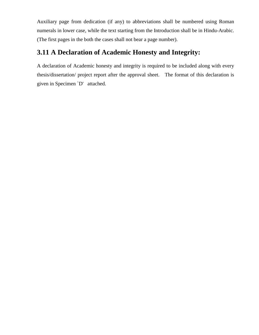Auxiliary page from dedication (if any) to abbreviations shall be numbered using Roman numerals in lower case, while the text starting from the Introduction shall be in Hindu-Arabic. (The first pages in the both the cases shall not bear a page number).

# **3.11 A Declaration of Academic Honesty and Integrity:**

A declaration of Academic honesty and integrity is required to be included along with every thesis/dissertation/ project report after the approval sheet. The format of this declaration is given in Specimen `D' attached.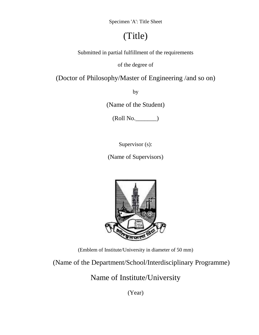Specimen 'A': Title Sheet

# (Title)

Submitted in partial fulfillment of the requirements

of the degree of

(Doctor of Philosophy/Master of Engineering /and so on)

by

(Name of the Student)

(Roll No.\_\_\_\_\_\_\_)

Supervisor (s):

(Name of Supervisors)



(Emblem of Institute/University in diameter of 50 mm)

(Name of the Department/School/Interdisciplinary Programme)

Name of Institute/University

(Year)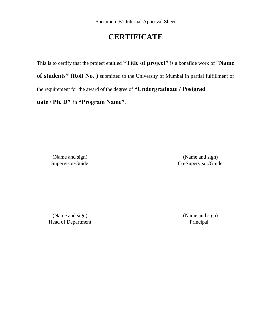# **CERTIFICATE**

This is to certify that the project entitled **"Title of project"** is a bonafide work of "**Name of students" (Roll No. )** submitted to the University of Mumbai in partial fulfillment of the requirement for the award of the degree of **"Undergraduate / Postgrad uate / Ph. D"** in **"Program Name"**.

(Name and sign) (Name and sign) Supervisor/Guide Co-Supervisor/Guide

(Name and sign) (Name and sign) Head of Department Principal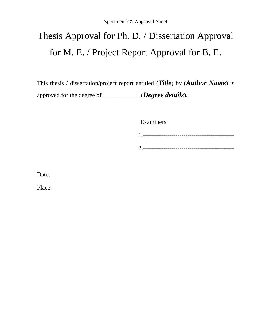# Thesis Approval for Ph. D. / Dissertation Approval for M. E. / Project Report Approval for B. E.

This thesis / dissertation/project report entitled (*Title*) by (*Author Name*) is approved for the degree of \_\_\_\_\_\_\_\_\_\_\_\_ (*Degree details*).

Examiners

Date:

Place: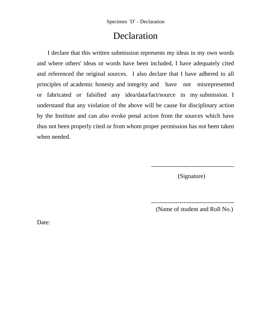# Declaration

 I declare that this written submission represents my ideas in my own words and where others' ideas or words have been included, I have adequately cited and referenced the original sources. I also declare that I have adhered to all principles of academic honesty and integrity and have not misrepresented or fabricated or falsified any idea/data/fact/source in my submission. I understand that any violation of the above will be cause for disciplinary action by the Institute and can also evoke penal action from the sources which have thus not been properly cited or from whom proper permission has not been taken when needed.

-----------------------------------------

(Signature)

-----------------------------------------

(Name of student and Roll No.)

Date: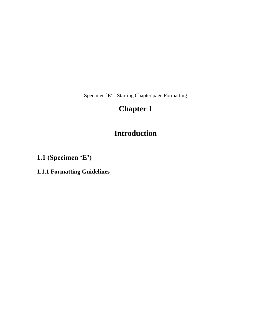Specimen `E' – Starting Chapter page Formatting

# **Chapter 1**

# **Introduction**

**1.1 (Specimen "E")**

**1.1.1 Formatting Guidelines**